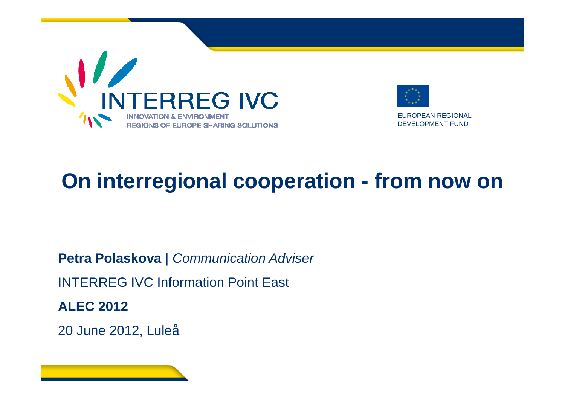



EUROPEAN REGIONALDEVELOPMENT FUND

# **On interregional cooperation - from now on**

**Petra Polaskova** | Communication AdviserINTERREG IVC Information Point East**ALEC 2012**

<sup>20</sup> June 2012, Luleå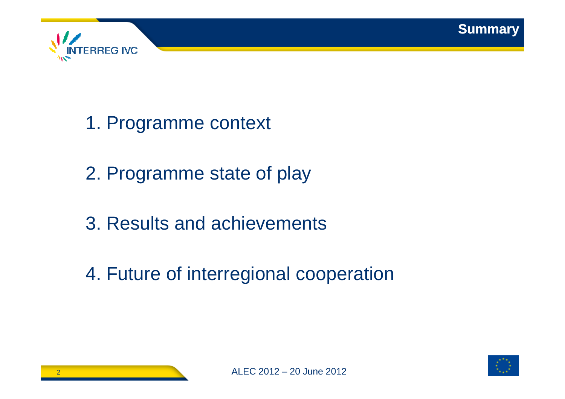



- 1. Programme context
- 2. Programme state of play
- 3. Results and achievements
- 4. Future of interregional cooperation

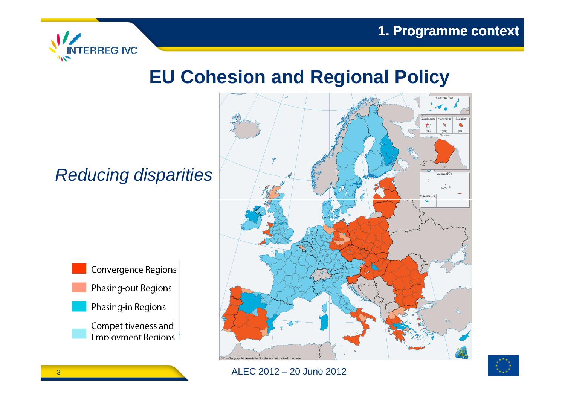

### **EU Cohesion and Regional Policy**

### Reducing disparities





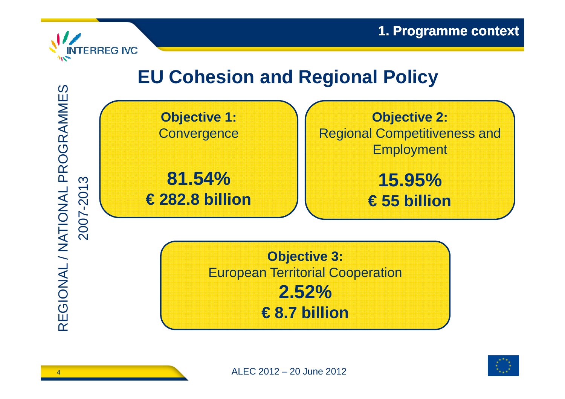

## **EU Cohesion and Regional Policy**



**Objective 3:** European Territorial Cooperation **2.52% € 8.7 billion**



REGIONAL / NATIONAL PROGRAMMES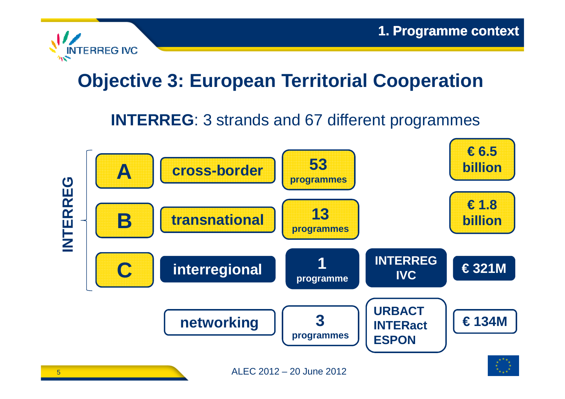

## **Objective 3: European Territorial Cooperation**

### **INTERREG**: 3 strands and 67 different programmes

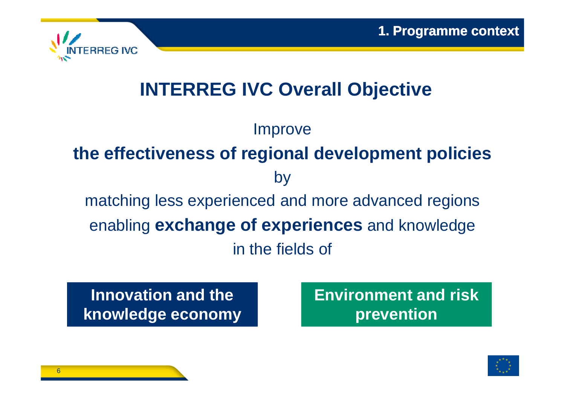

## **INTERREG IVC Overall Objective**

**Improve the effectiveness of regional development policies**  bymatching less experienced and more advanced regionsenabling **exchange of experiences** and knowledge in the fields of

**Innovation and the knowledge economy** **Environment and risk prevention**

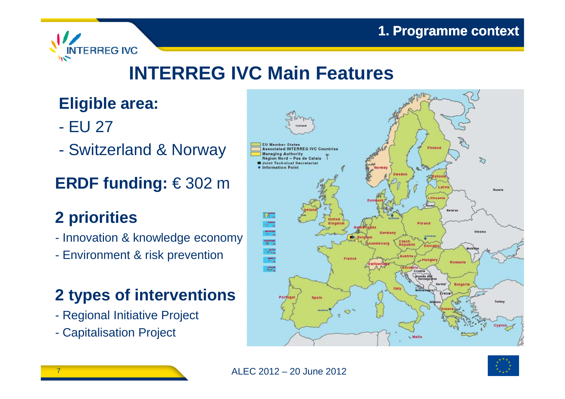

## **INTERREG IVC Main Features**

### **Eligible area:**

- $\mathcal{L}_{\mathcal{A}}$ EU 27
- $\mathcal{L}_{\mathcal{A}}$ Switzerland & Norway

### **ERDF funding:** € 302 <sup>m</sup>

### **2 priorities**

- Innovation & knowledge economy
- Environment & risk prevention

### **2 types of interventions**

- Regional Initiative Project
- Capitalisation Project



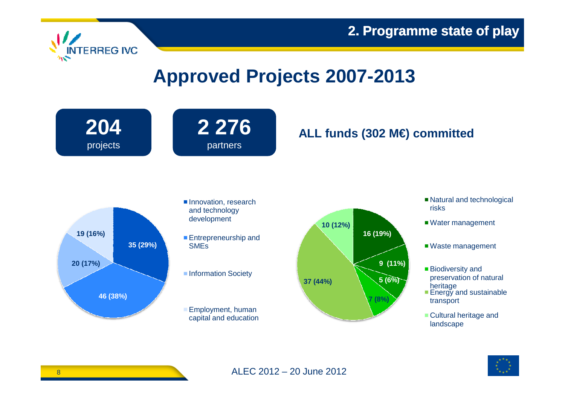



### **Approved Projects 2007-2013**



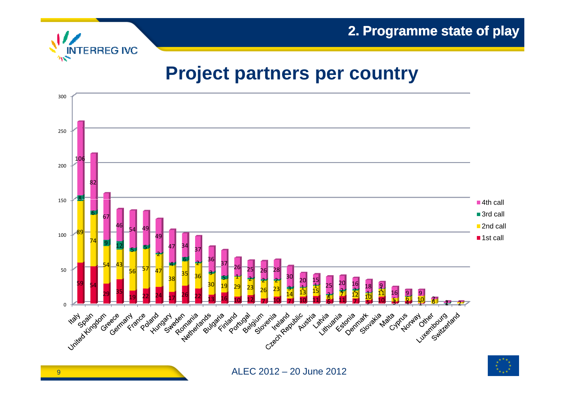



### **Project partners per country**

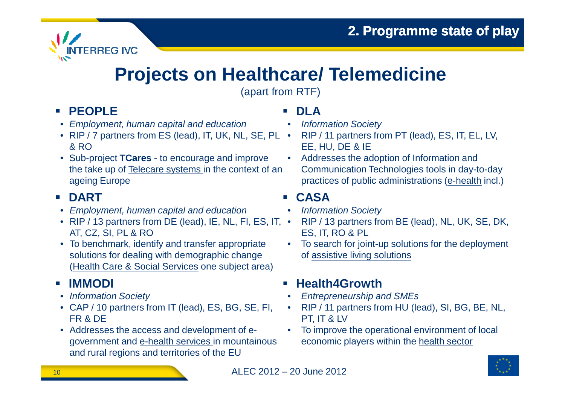

### **Projects on Healthcare/ Telemedicine**

(apart from RTF)

### **PEOPLE**

- Employment, human capital and education
- RIP / 7 partners from ES (lead), IT, UK, NL, SE, PL & RO
- Sub-project **TCares** to encourage and improve the take up of Telecare systems in the context of an ageing Europe

#### $\mathcal{N}_{\rm eff}$ **DART**

- Employment, human capital and education
- RIP / 13 partners from DE (lead), IE, NL, FI, ES, IT, •AT, CZ, SI, PL & RO
- To benchmark, identify and transfer appropriate solutions for dealing with demographic change (Health Care & Social Services one subject area)

#### $\mathcal{C}$ **IMMODI**

- Information Society
- CAP / 10 partners from IT (lead), ES, BG, SE, FI, FR & DE
- Addresses the access and development of egovernment and e-health services in mountainous and rural regions and territories of the EU

#### П **DLA**

- Information Society •
- RIP / 11 partners from PT (lead), ES, IT, EL, LV, EE, HU, DE & IE
- Addresses the adoption of Information and  $\bullet$ Communication Technologies tools in day-to-day practices of public administrations (<u>e-health</u> incl.)

#### П **CASA**

- Information Society •
- RIP / 13 partners from BE (lead), NL, UK, SE, DK, ES, IT, RO & PL
- To search for joint-up solutions for the deployment of assistive living solutions

#### п **Health4Growth**

- Entrepreneurship and SMEs•
- RIP / 11 partners from HU (lead), SI, BG, BE, NL, •PT, IT & LV
- To improve the operational environment of local economic players within the health sector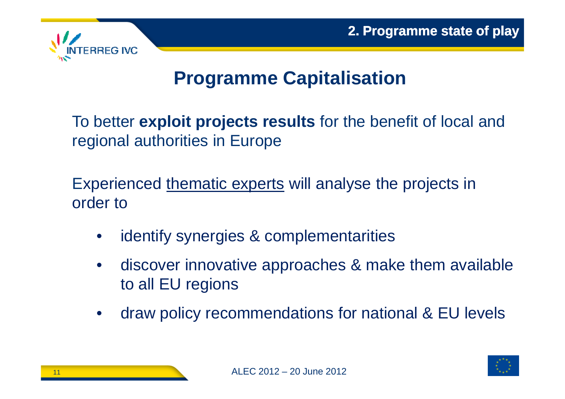

### **Programme Capitalisation**

To better **exploit projects results** for the benefit of local and regional authorities in Europe

Experienced <u>thematic experts</u> will analyse the projects in order to

- •identify synergies & complementarities
- • discover innovative approaches & make them available to all EU regions
- $\bullet$ draw policy recommendations for national & EU levels

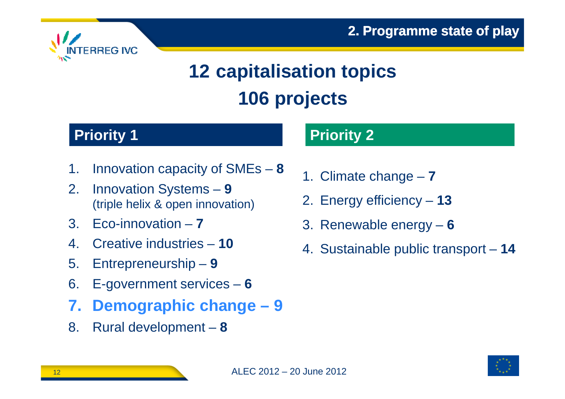

# **12 capitalisation topics 106 projects**

### **Priority 1**

- 1. Innovation capacity of SMEs –**8**
- 2. Innovation Systems **<sup>9</sup>** (triple helix & open innovation)
- 3. Eco-innovation –**7**
- 4. Creative industries **<sup>10</sup>**
- 5. Entrepreneurship –**9**
- 6. E-government services –**6**
- **7. Demographic change – 9**
- 8. Rural development –**8**

### **Priority 2**

- 1. Climate change –**7**
- 2. Energy efficiency – **<sup>13</sup>**
- 3. Renewable energy –**6**
- 4. Sustainable public transport **<sup>14</sup>**

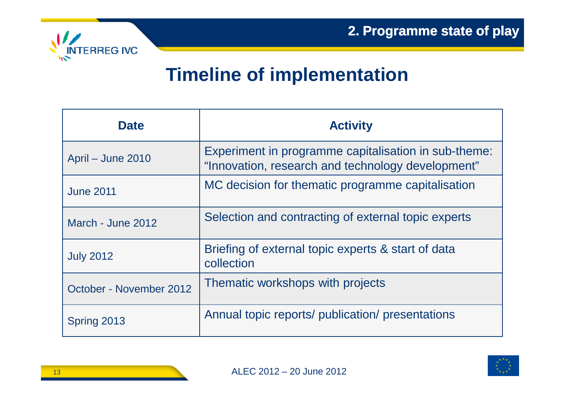

### **Timeline of implementation**

| <b>Date</b>             | <b>Activity</b>                                                                                           |
|-------------------------|-----------------------------------------------------------------------------------------------------------|
| April – June 2010       | Experiment in programme capitalisation in sub-theme:<br>"Innovation, research and technology development" |
| <b>June 2011</b>        | MC decision for thematic programme capitalisation                                                         |
| March - June 2012       | Selection and contracting of external topic experts                                                       |
| <b>July 2012</b>        | Briefing of external topic experts & start of data<br>collection                                          |
| October - November 2012 | Thematic workshops with projects                                                                          |
| Spring 2013             | Annual topic reports/ publication/ presentations                                                          |

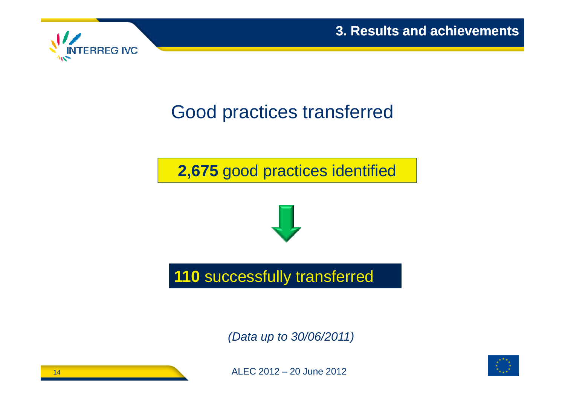



### Good practices transferred

**2,675** good practices identified



**110** successfully transferred

(Data up to 30/06/2011)



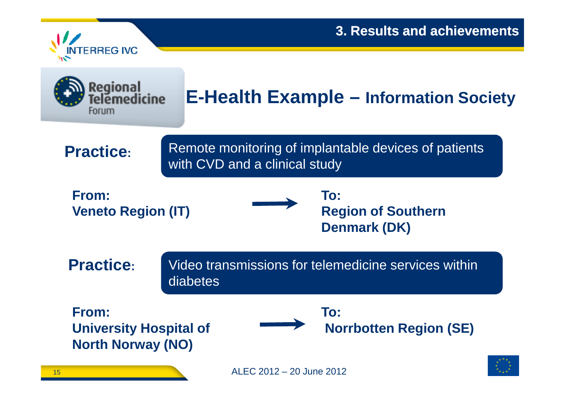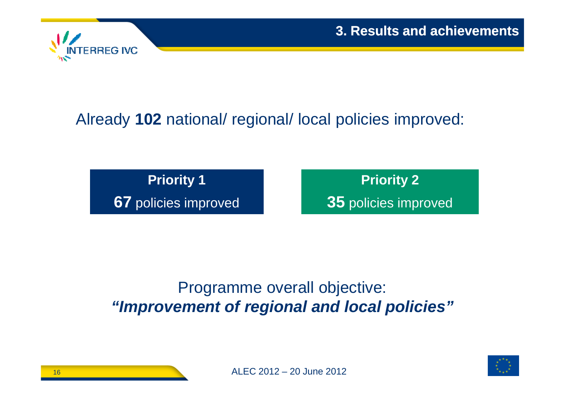

### Already **102** national/ regional/ local policies improved:

**Priority 167** policies improved **Priority 2**

**35** policies improved

### Programme overall objective: **"Improvement of regional and local policies"**

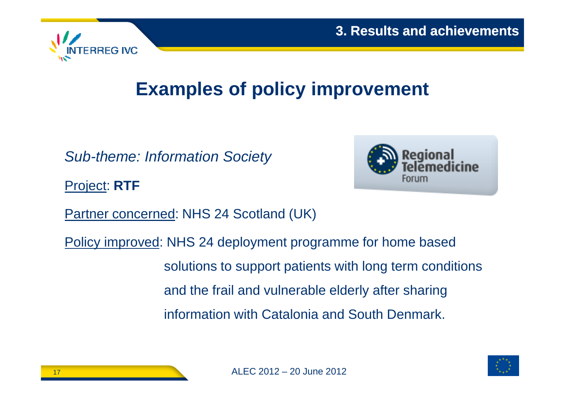

## **Examples of policy improvement**

Sub-theme: Information Society

Project: **RTF**



Partner concerned: NHS 24 Scotland (UK)

Policy improved: NHS 24 deployment programme for home based solutions to support patients with long term conditions and the frail and vulnerable elderly after sharing information with Catalonia and South Denmark.

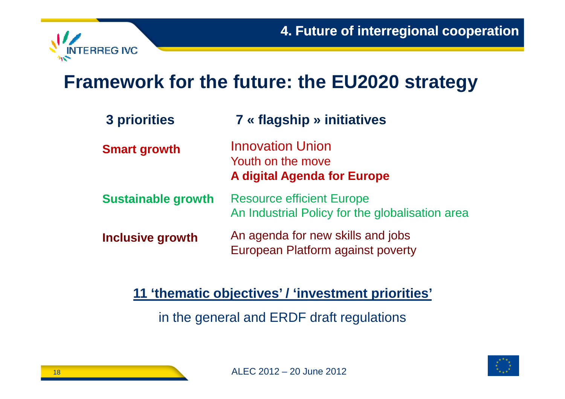

### **Framework for the future: the EU2020 strategy**

| 3 priorities              | <b>7 « flagship » initiatives</b>                                                   |
|---------------------------|-------------------------------------------------------------------------------------|
| <b>Smart growth</b>       | <b>Innovation Union</b><br>Youth on the move<br><b>A digital Agenda for Europe</b>  |
| <b>Sustainable growth</b> | <b>Resource efficient Europe</b><br>An Industrial Policy for the globalisation area |
| <b>Inclusive growth</b>   | An agenda for new skills and jobs<br>European Platform against poverty              |

**11 'thematic objectives' / 'investment priorities'**

in the general and ERDF draft regulations



18

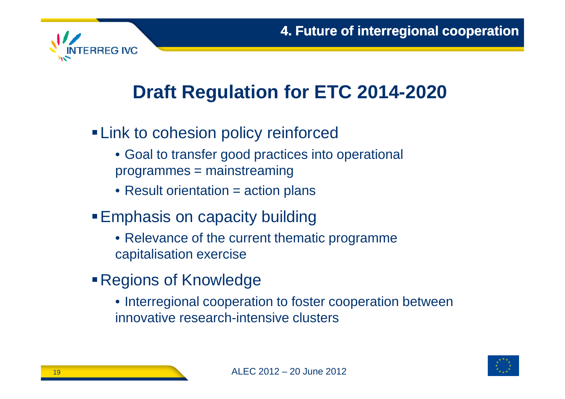

## **Draft Regulation for ETC 2014-2020**

- **ELink to cohesion policy reinforced** 
	- Goal to transfer good practices into operational programmes = mainstreaming
	- $\bullet$  Result orientation = action plans
- **Emphasis on capacity building** 
	- Relevance of the current thematic programme capitalisation exercise
- Regions of Knowledge
	- Interregional cooperation to foster cooperation between innovative research-intensive clusters

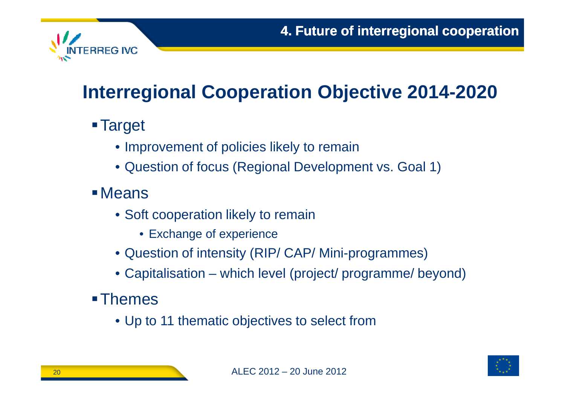

## **Interregional Cooperation Objective 2014-2020**

- **Target** 
	- Improvement of policies likely to remain
	- Question of focus (Regional Development vs. Goal 1)
- Means
	- Soft cooperation likely to remain
		- Exchange of experience
	- Question of intensity (RIP/ CAP/ Mini-programmes)
	- Capitalisation which level (project/ programme/ beyond)
- **-Themes** 
	- Up to 11 thematic objectives to select from

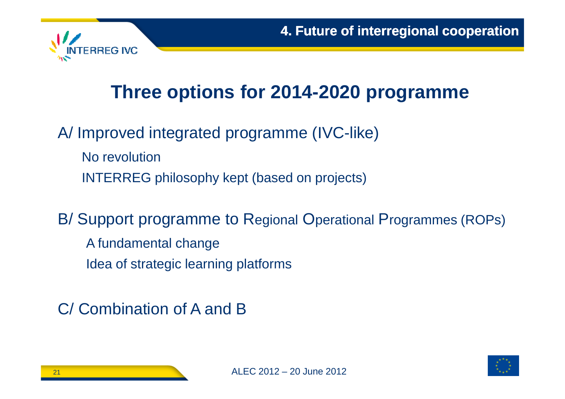

## **Three options for 2014-2020 programme**

A/ Improved integrated programme (IVC-like)

No revolutionINTERREG philosophy kept (based on projects)

B/ Support programme to Regional Operational Programmes (ROPs)

A fundamental changeIdea of strategic learning platforms

C/ Combination of A and B